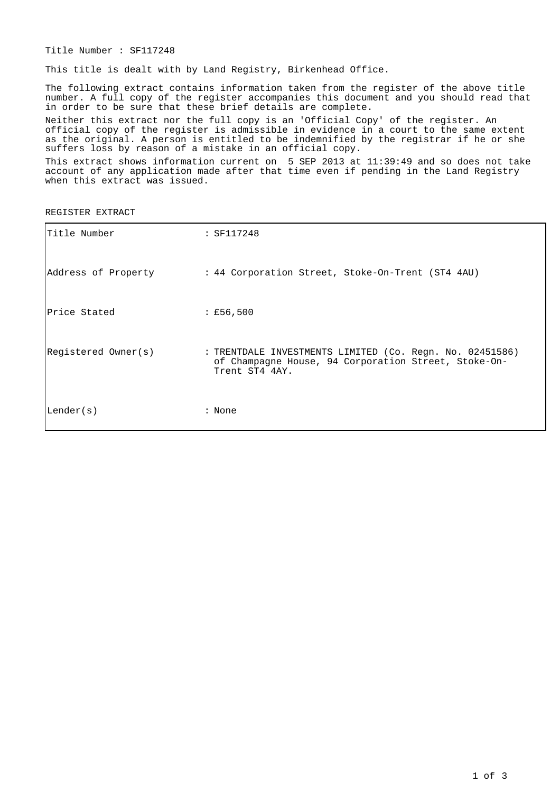Title Number : SF117248

This title is dealt with by Land Registry, Birkenhead Office.

The following extract contains information taken from the register of the above title number. A full copy of the register accompanies this document and you should read that in order to be sure that these brief details are complete.

Neither this extract nor the full copy is an 'Official Copy' of the register. An official copy of the register is admissible in evidence in a court to the same extent as the original. A person is entitled to be indemnified by the registrar if he or she suffers loss by reason of a mistake in an official copy.

This extract shows information current on 5 SEP 2013 at 11:39:49 and so does not take account of any application made after that time even if pending in the Land Registry when this extract was issued.

REGISTER EXTRACT

| Title Number        | : SF117248                                                                                                                         |
|---------------------|------------------------------------------------------------------------------------------------------------------------------------|
| Address of Property | : 44 Corporation Street, Stoke-On-Trent (ST4 4AU)                                                                                  |
| Price Stated        | : £56,500                                                                                                                          |
| Registered Owner(s) | : TRENTDALE INVESTMENTS LIMITED (Co. Regn. No. 02451586)<br>of Champagne House, 94 Corporation Street, Stoke-On-<br>Trent ST4 4AY. |
| Lender(s)           | : None                                                                                                                             |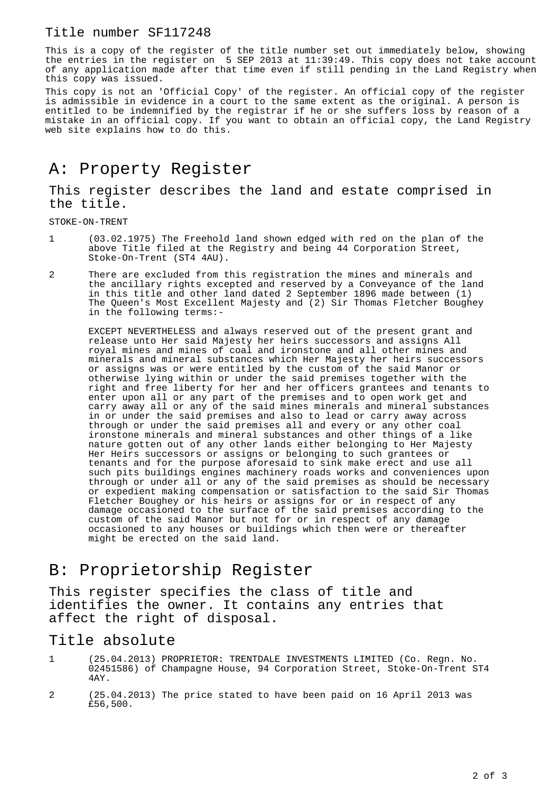#### Title number SF117248

This is a copy of the register of the title number set out immediately below, showing the entries in the register on 5 SEP 2013 at 11:39:49. This copy does not take account of any application made after that time even if still pending in the Land Registry when this copy was issued.

This copy is not an 'Official Copy' of the register. An official copy of the register is admissible in evidence in a court to the same extent as the original. A person is entitled to be indemnified by the registrar if he or she suffers loss by reason of a mistake in an official copy. If you want to obtain an official copy, the Land Registry web site explains how to do this.

# A: Property Register

#### This register describes the land and estate comprised in the title.

STOKE-ON-TRENT

- 1 (03.02.1975) The Freehold land shown edged with red on the plan of the above Title filed at the Registry and being 44 Corporation Street, Stoke-On-Trent (ST4 4AU).
- 2 There are excluded from this registration the mines and minerals and the ancillary rights excepted and reserved by a Conveyance of the land in this title and other land dated 2 September 1896 made between (1) The Queen's Most Excellent Majesty and (2) Sir Thomas Fletcher Boughey in the following terms:-

EXCEPT NEVERTHELESS and always reserved out of the present grant and release unto Her said Majesty her heirs successors and assigns All royal mines and mines of coal and ironstone and all other mines and minerals and mineral substances which Her Majesty her heirs successors or assigns was or were entitled by the custom of the said Manor or otherwise lying within or under the said premises together with the right and free liberty for her and her officers grantees and tenants to enter upon all or any part of the premises and to open work get and carry away all or any of the said mines minerals and mineral substances in or under the said premises and also to lead or carry away across through or under the said premises all and every or any other coal ironstone minerals and mineral substances and other things of a like nature gotten out of any other lands either belonging to Her Majesty Her Heirs successors or assigns or belonging to such grantees or tenants and for the purpose aforesaid to sink make erect and use all such pits buildings engines machinery roads works and conveniences upon through or under all or any of the said premises as should be necessary or expedient making compensation or satisfaction to the said Sir Thomas Fletcher Boughey or his heirs or assigns for or in respect of any damage occasioned to the surface of the said premises according to the custom of the said Manor but not for or in respect of any damage occasioned to any houses or buildings which then were or thereafter might be erected on the said land.

## B: Proprietorship Register

This register specifies the class of title and identifies the owner. It contains any entries that affect the right of disposal.

### Title absolute

- 1 (25.04.2013) PROPRIETOR: TRENTDALE INVESTMENTS LIMITED (Co. Regn. No. 02451586) of Champagne House, 94 Corporation Street, Stoke-On-Trent ST4  $4AY$
- 2 (25.04.2013) The price stated to have been paid on 16 April 2013 was £56,500.